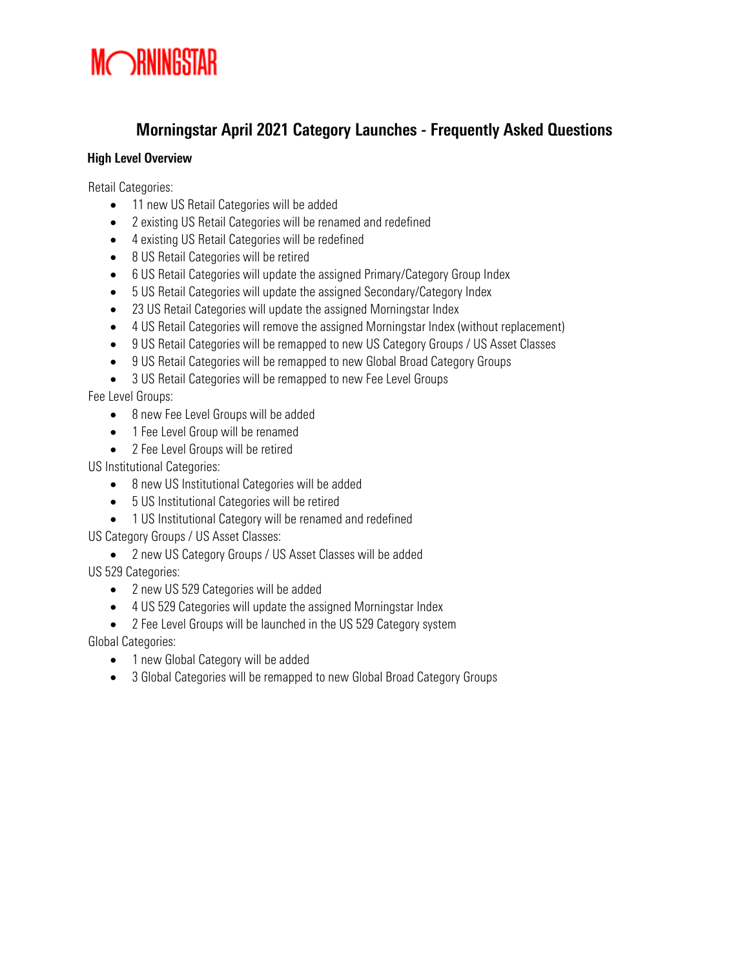### Morningstar April 2021 Category Launches - Frequently Asked Questions

#### High Level Overview

Retail Categories:

- 11 new US Retail Categories will be added
- 2 existing US Retail Categories will be renamed and redefined
- 4 existing US Retail Categories will be redefined
- 8 US Retail Categories will be retired
- 6 US Retail Categories will update the assigned Primary/Category Group Index
- 5 US Retail Categories will update the assigned Secondary/Category Index
- 23 US Retail Categories will update the assigned Morningstar Index
- 4 US Retail Categories will remove the assigned Morningstar Index (without replacement)
- 9 US Retail Categories will be remapped to new US Category Groups / US Asset Classes
- 9 US Retail Categories will be remapped to new Global Broad Category Groups
- 3 US Retail Categories will be remapped to new Fee Level Groups

Fee Level Groups:

- 8 new Fee Level Groups will be added
- 1 Fee Level Group will be renamed
- 2 Fee Level Groups will be retired

US Institutional Categories:

- 8 new US Institutional Categories will be added
- 5 US Institutional Categories will be retired
- 1 US Institutional Category will be renamed and redefined

US Category Groups / US Asset Classes:

• 2 new US Category Groups / US Asset Classes will be added

US 529 Categories:

- 2 new US 529 Categories will be added
- 4 US 529 Categories will update the assigned Morningstar Index
- 2 Fee Level Groups will be launched in the US 529 Category system

Global Categories:

- 1 new Global Category will be added
- 3 Global Categories will be remapped to new Global Broad Category Groups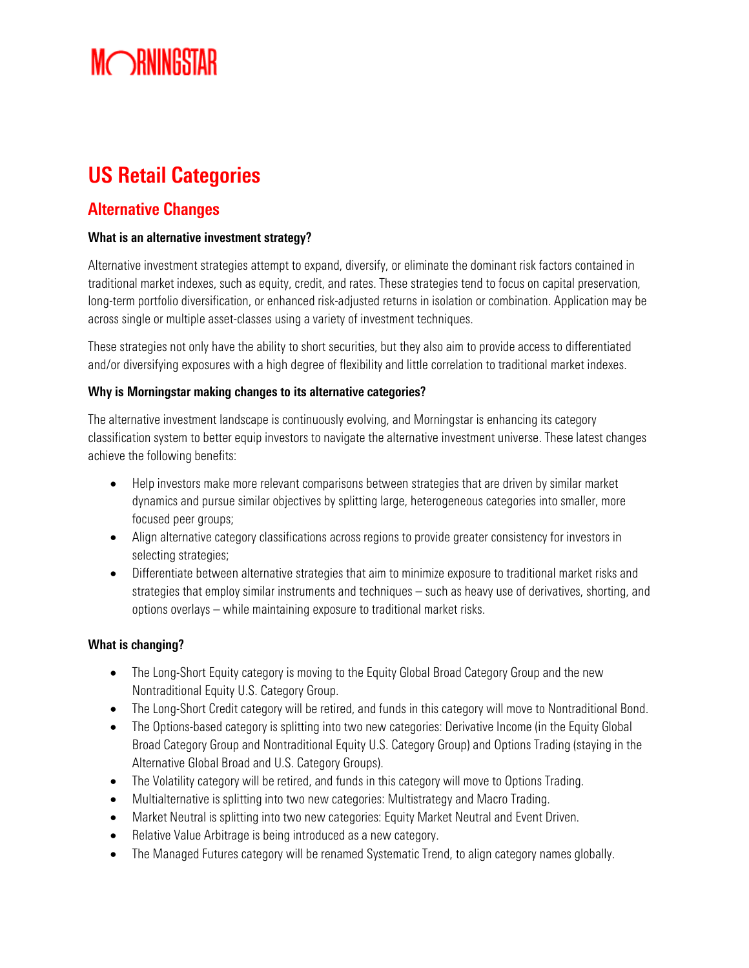## US Retail Categories

### Alternative Changes

#### What is an alternative investment strategy?

Alternative investment strategies attempt to expand, diversify, or eliminate the dominant risk factors contained in traditional market indexes, such as equity, credit, and rates. These strategies tend to focus on capital preservation, long-term portfolio diversification, or enhanced risk-adjusted returns in isolation or combination. Application may be across single or multiple asset-classes using a variety of investment techniques.

These strategies not only have the ability to short securities, but they also aim to provide access to differentiated and/or diversifying exposures with a high degree of flexibility and little correlation to traditional market indexes.

#### Why is Morningstar making changes to its alternative categories?

The alternative investment landscape is continuously evolving, and Morningstar is enhancing its category classification system to better equip investors to navigate the alternative investment universe. These latest changes achieve the following benefits:

- Help investors make more relevant comparisons between strategies that are driven by similar market dynamics and pursue similar objectives by splitting large, heterogeneous categories into smaller, more focused peer groups;
- Align alternative category classifications across regions to provide greater consistency for investors in selecting strategies;
- Differentiate between alternative strategies that aim to minimize exposure to traditional market risks and strategies that employ similar instruments and techniques – such as heavy use of derivatives, shorting, and options overlays – while maintaining exposure to traditional market risks.

#### What is changing?

- The Long-Short Equity category is moving to the Equity Global Broad Category Group and the new Nontraditional Equity U.S. Category Group.
- The Long-Short Credit category will be retired, and funds in this category will move to Nontraditional Bond.
- The Options-based category is splitting into two new categories: Derivative Income (in the Equity Global Broad Category Group and Nontraditional Equity U.S. Category Group) and Options Trading (staying in the Alternative Global Broad and U.S. Category Groups).
- The Volatility category will be retired, and funds in this category will move to Options Trading.
- Multialternative is splitting into two new categories: Multistrategy and Macro Trading.
- Market Neutral is splitting into two new categories: Equity Market Neutral and Event Driven.
- Relative Value Arbitrage is being introduced as a new category.
- The Managed Futures category will be renamed Systematic Trend, to align category names globally.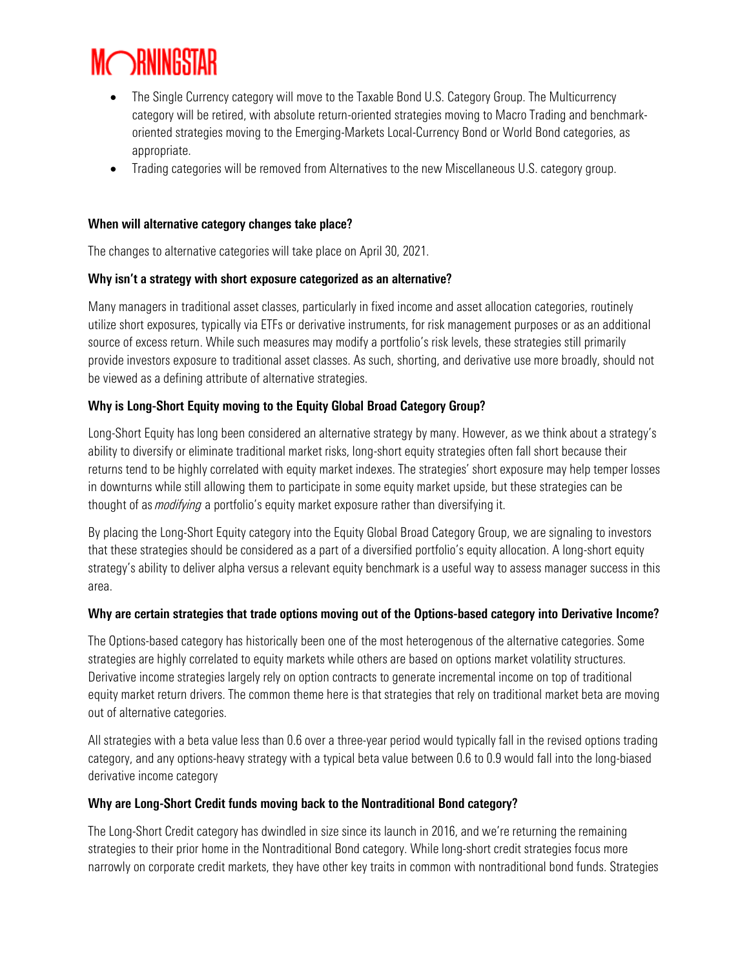

- The Single Currency category will move to the Taxable Bond U.S. Category Group. The Multicurrency category will be retired, with absolute return-oriented strategies moving to Macro Trading and benchmarkoriented strategies moving to the Emerging-Markets Local-Currency Bond or World Bond categories, as appropriate.
- Trading categories will be removed from Alternatives to the new Miscellaneous U.S. category group.

#### When will alternative category changes take place?

The changes to alternative categories will take place on April 30, 2021.

#### Why isn't a strategy with short exposure categorized as an alternative?

Many managers in traditional asset classes, particularly in fixed income and asset allocation categories, routinely utilize short exposures, typically via ETFs or derivative instruments, for risk management purposes or as an additional source of excess return. While such measures may modify a portfolio's risk levels, these strategies still primarily provide investors exposure to traditional asset classes. As such, shorting, and derivative use more broadly, should not be viewed as a defining attribute of alternative strategies.

#### Why is Long-Short Equity moving to the Equity Global Broad Category Group?

Long-Short Equity has long been considered an alternative strategy by many. However, as we think about a strategy's ability to diversify or eliminate traditional market risks, long-short equity strategies often fall short because their returns tend to be highly correlated with equity market indexes. The strategies' short exposure may help temper losses in downturns while still allowing them to participate in some equity market upside, but these strategies can be thought of as *modifying* a portfolio's equity market exposure rather than diversifying it.

By placing the Long-Short Equity category into the Equity Global Broad Category Group, we are signaling to investors that these strategies should be considered as a part of a diversified portfolio's equity allocation. A long-short equity strategy's ability to deliver alpha versus a relevant equity benchmark is a useful way to assess manager success in this area.

#### Why are certain strategies that trade options moving out of the Options-based category into Derivative Income?

The Options-based category has historically been one of the most heterogenous of the alternative categories. Some strategies are highly correlated to equity markets while others are based on options market volatility structures. Derivative income strategies largely rely on option contracts to generate incremental income on top of traditional equity market return drivers. The common theme here is that strategies that rely on traditional market beta are moving out of alternative categories.

All strategies with a beta value less than 0.6 over a three-year period would typically fall in the revised options trading category, and any options-heavy strategy with a typical beta value between 0.6 to 0.9 would fall into the long-biased derivative income category

#### Why are Long-Short Credit funds moving back to the Nontraditional Bond category?

The Long-Short Credit category has dwindled in size since its launch in 2016, and we're returning the remaining strategies to their prior home in the Nontraditional Bond category. While long-short credit strategies focus more narrowly on corporate credit markets, they have other key traits in common with nontraditional bond funds. Strategies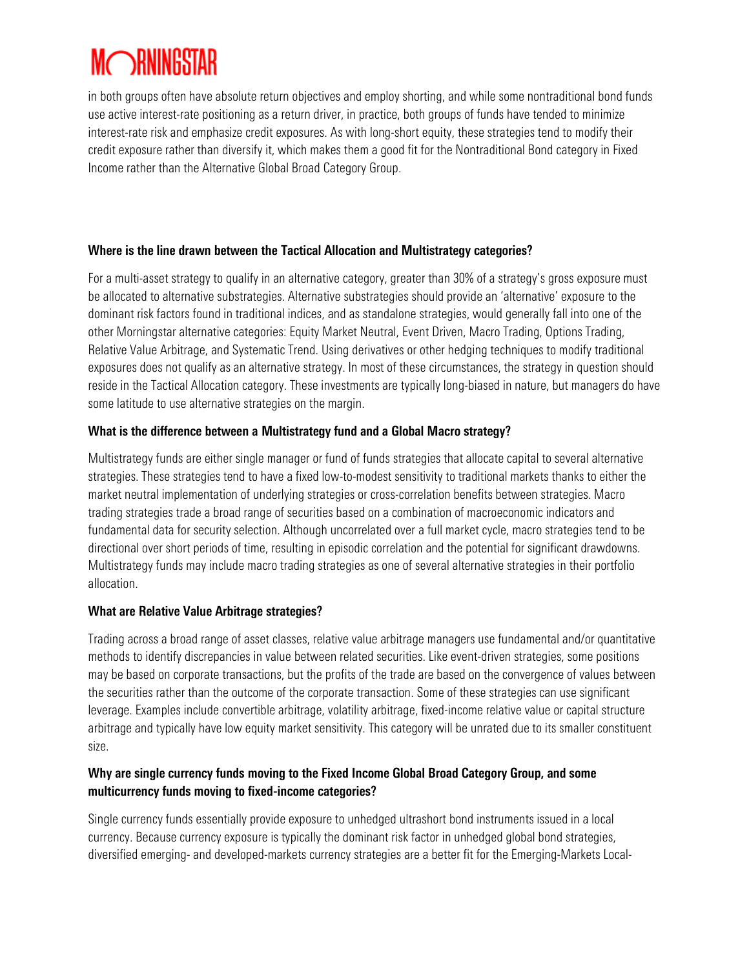in both groups often have absolute return objectives and employ shorting, and while some nontraditional bond funds use active interest-rate positioning as a return driver, in practice, both groups of funds have tended to minimize interest-rate risk and emphasize credit exposures. As with long-short equity, these strategies tend to modify their credit exposure rather than diversify it, which makes them a good fit for the Nontraditional Bond category in Fixed Income rather than the Alternative Global Broad Category Group.

#### Where is the line drawn between the Tactical Allocation and Multistrategy categories?

For a multi-asset strategy to qualify in an alternative category, greater than 30% of a strategy's gross exposure must be allocated to alternative substrategies. Alternative substrategies should provide an 'alternative' exposure to the dominant risk factors found in traditional indices, and as standalone strategies, would generally fall into one of the other Morningstar alternative categories: Equity Market Neutral, Event Driven, Macro Trading, Options Trading, Relative Value Arbitrage, and Systematic Trend. Using derivatives or other hedging techniques to modify traditional exposures does not qualify as an alternative strategy. In most of these circumstances, the strategy in question should reside in the Tactical Allocation category. These investments are typically long-biased in nature, but managers do have some latitude to use alternative strategies on the margin.

#### What is the difference between a Multistrategy fund and a Global Macro strategy?

Multistrategy funds are either single manager or fund of funds strategies that allocate capital to several alternative strategies. These strategies tend to have a fixed low-to-modest sensitivity to traditional markets thanks to either the market neutral implementation of underlying strategies or cross-correlation benefits between strategies. Macro trading strategies trade a broad range of securities based on a combination of macroeconomic indicators and fundamental data for security selection. Although uncorrelated over a full market cycle, macro strategies tend to be directional over short periods of time, resulting in episodic correlation and the potential for significant drawdowns. Multistrategy funds may include macro trading strategies as one of several alternative strategies in their portfolio allocation.

#### What are Relative Value Arbitrage strategies?

Trading across a broad range of asset classes, relative value arbitrage managers use fundamental and/or quantitative methods to identify discrepancies in value between related securities. Like event-driven strategies, some positions may be based on corporate transactions, but the profits of the trade are based on the convergence of values between the securities rather than the outcome of the corporate transaction. Some of these strategies can use significant leverage. Examples include convertible arbitrage, volatility arbitrage, fixed-income relative value or capital structure arbitrage and typically have low equity market sensitivity. This category will be unrated due to its smaller constituent size.

#### Why are single currency funds moving to the Fixed Income Global Broad Category Group, and some multicurrency funds moving to fixed-income categories?

Single currency funds essentially provide exposure to unhedged ultrashort bond instruments issued in a local currency. Because currency exposure is typically the dominant risk factor in unhedged global bond strategies, diversified emerging- and developed-markets currency strategies are a better fit for the Emerging-Markets Local-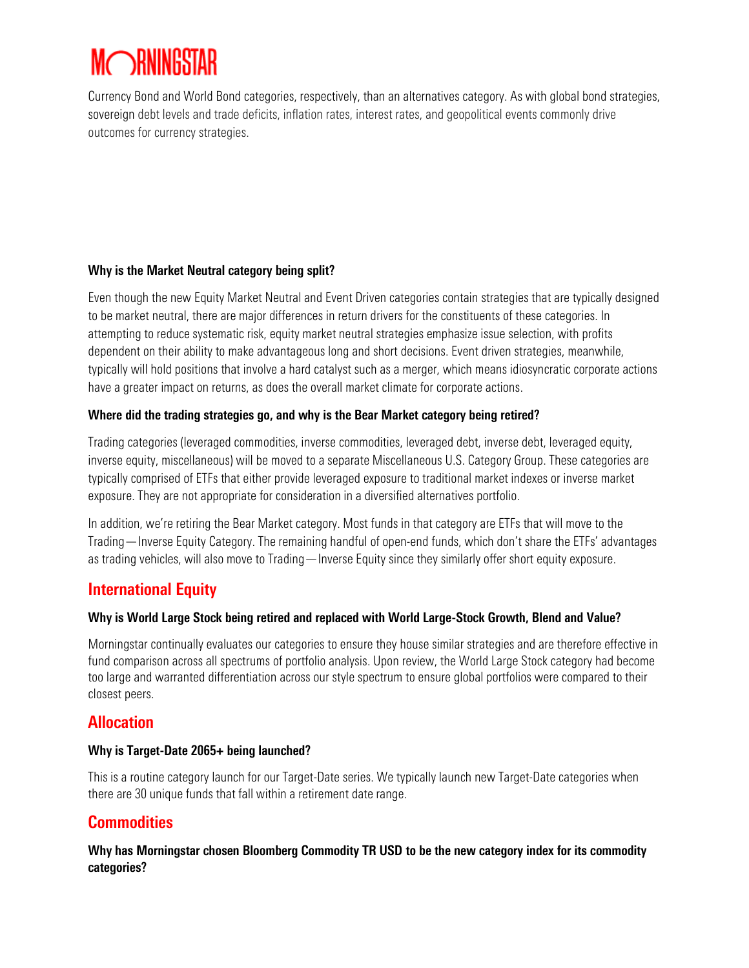Currency Bond and World Bond categories, respectively, than an alternatives category. As with global bond strategies, sovereign debt levels and trade deficits, inflation rates, interest rates, and geopolitical events commonly drive outcomes for currency strategies.

#### Why is the Market Neutral category being split?

Even though the new Equity Market Neutral and Event Driven categories contain strategies that are typically designed to be market neutral, there are major differences in return drivers for the constituents of these categories. In attempting to reduce systematic risk, equity market neutral strategies emphasize issue selection, with profits dependent on their ability to make advantageous long and short decisions. Event driven strategies, meanwhile, typically will hold positions that involve a hard catalyst such as a merger, which means idiosyncratic corporate actions have a greater impact on returns, as does the overall market climate for corporate actions.

#### Where did the trading strategies go, and why is the Bear Market category being retired?

Trading categories (leveraged commodities, inverse commodities, leveraged debt, inverse debt, leveraged equity, inverse equity, miscellaneous) will be moved to a separate Miscellaneous U.S. Category Group. These categories are typically comprised of ETFs that either provide leveraged exposure to traditional market indexes or inverse market exposure. They are not appropriate for consideration in a diversified alternatives portfolio.

In addition, we're retiring the Bear Market category. Most funds in that category are ETFs that will move to the Trading—Inverse Equity Category. The remaining handful of open-end funds, which don't share the ETFs' advantages as trading vehicles, will also move to Trading—Inverse Equity since they similarly offer short equity exposure.

### International Equity

#### Why is World Large Stock being retired and replaced with World Large-Stock Growth, Blend and Value?

Morningstar continually evaluates our categories to ensure they house similar strategies and are therefore effective in fund comparison across all spectrums of portfolio analysis. Upon review, the World Large Stock category had become too large and warranted differentiation across our style spectrum to ensure global portfolios were compared to their closest peers.

### Allocation

#### Why is Target-Date 2065+ being launched?

This is a routine category launch for our Target-Date series. We typically launch new Target-Date categories when there are 30 unique funds that fall within a retirement date range.

### **Commodities**

#### Why has Morningstar chosen Bloomberg Commodity TR USD to be the new category index for its commodity categories?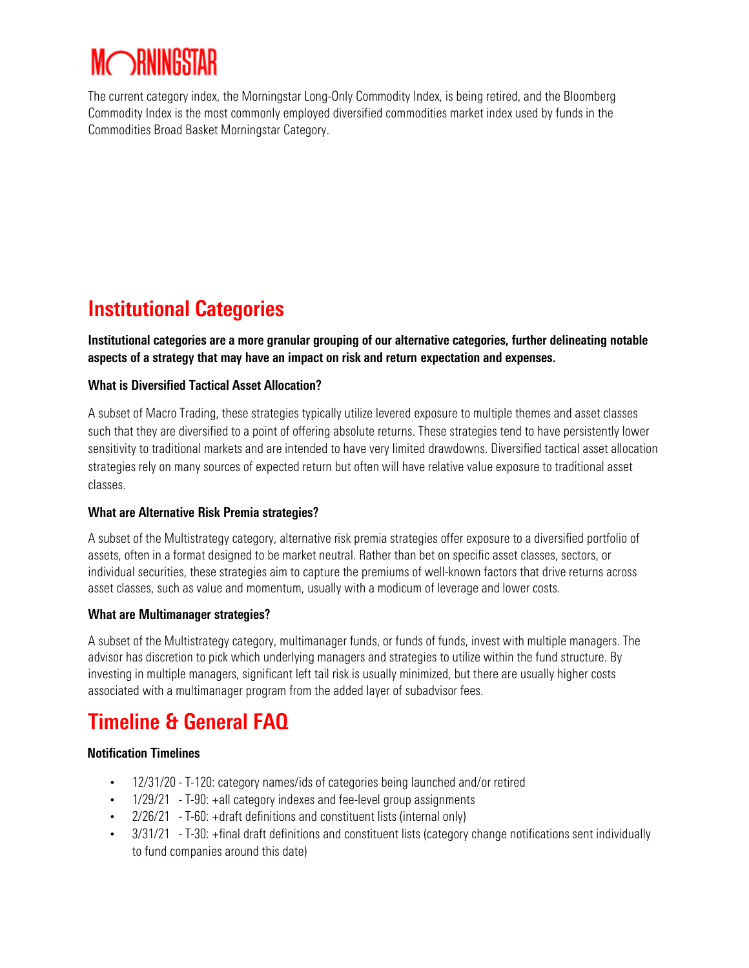The current category index, the Morningstar Long-Only Commodity Index, is being retired, and the Bloomberg Commodity Index is the most commonly employed diversified commodities market index used by funds in the Commodities Broad Basket Morningstar Category.

## Institutional Categories

Institutional categories are a more granular grouping of our alternative categories, further delineating notable aspects of a strategy that may have an impact on risk and return expectation and expenses.

#### What is Diversified Tactical Asset Allocation?

A subset of Macro Trading, these strategies typically utilize levered exposure to multiple themes and asset classes such that they are diversified to a point of offering absolute returns. These strategies tend to have persistently lower sensitivity to traditional markets and are intended to have very limited drawdowns. Diversified tactical asset allocation strategies rely on many sources of expected return but often will have relative value exposure to traditional asset classes.

#### What are Alternative Risk Premia strategies?

A subset of the Multistrategy category, alternative risk premia strategies offer exposure to a diversified portfolio of assets, often in a format designed to be market neutral. Rather than bet on specific asset classes, sectors, or individual securities, these strategies aim to capture the premiums of well-known factors that drive returns across asset classes, such as value and momentum, usually with a modicum of leverage and lower costs.

#### What are Multimanager strategies?

A subset of the Multistrategy category, multimanager funds, or funds of funds, invest with multiple managers. The advisor has discretion to pick which underlying managers and strategies to utilize within the fund structure. By investing in multiple managers, significant left tail risk is usually minimized, but there are usually higher costs associated with a multimanager program from the added layer of subadvisor fees.

## Timeline & General FAQ

#### Notification Timelines

- 12/31/20 T-120: category names/ids of categories being launched and/or retired
- 1/29/21 T-90: +all category indexes and fee-level group assignments
- 2/26/21 T-60: +draft definitions and constituent lists (internal only)
- 3/31/21 T-30: +final draft definitions and constituent lists (category change notifications sent individually to fund companies around this date)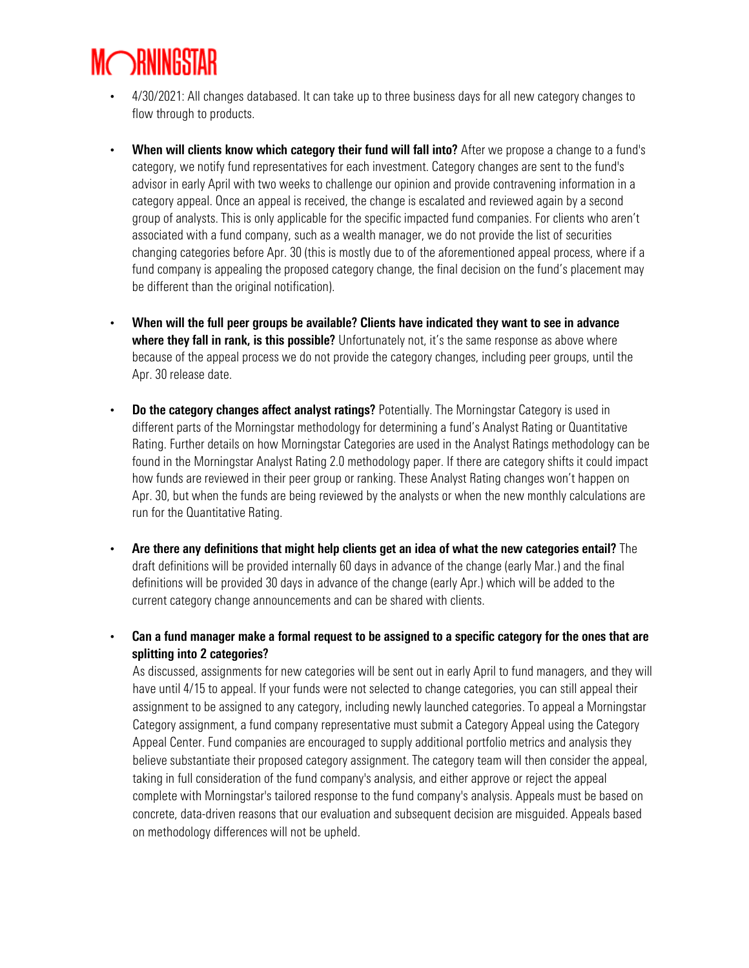- 4/30/2021: All changes databased. It can take up to three business days for all new category changes to flow through to products.
- When will clients know which category their fund will fall into? After we propose a change to a fund's category, we notify fund representatives for each investment. Category changes are sent to the fund's advisor in early April with two weeks to challenge our opinion and provide contravening information in a category appeal. Once an appeal is received, the change is escalated and reviewed again by a second group of analysts. This is only applicable for the specific impacted fund companies. For clients who aren't associated with a fund company, such as a wealth manager, we do not provide the list of securities changing categories before Apr. 30 (this is mostly due to of the aforementioned appeal process, where if a fund company is appealing the proposed category change, the final decision on the fund's placement may be different than the original notification).
- When will the full peer groups be available? Clients have indicated they want to see in advance where they fall in rank, is this possible? Unfortunately not, it's the same response as above where because of the appeal process we do not provide the category changes, including peer groups, until the Apr. 30 release date.
- Do the category changes affect analyst ratings? Potentially. The Morningstar Category is used in different parts of the Morningstar methodology for determining a fund's Analyst Rating or Quantitative Rating. Further details on how Morningstar Categories are used in the Analyst Ratings methodology can be found in the Morningstar Analyst Rating 2.0 methodology paper. If there are category shifts it could impact how funds are reviewed in their peer group or ranking. These Analyst Rating changes won't happen on Apr. 30, but when the funds are being reviewed by the analysts or when the new monthly calculations are run for the Quantitative Rating.
- Are there any definitions that might help clients get an idea of what the new categories entail? The draft definitions will be provided internally 60 days in advance of the change (early Mar.) and the final definitions will be provided 30 days in advance of the change (early Apr.) which will be added to the current category change announcements and can be shared with clients.
- Can a fund manager make a formal request to be assigned to a specific category for the ones that are splitting into 2 categories?

As discussed, assignments for new categories will be sent out in early April to fund managers, and they will have until 4/15 to appeal. If your funds were not selected to change categories, you can still appeal their assignment to be assigned to any category, including newly launched categories. To appeal a Morningstar Category assignment, a fund company representative must submit a Category Appeal using the Category Appeal Center. Fund companies are encouraged to supply additional portfolio metrics and analysis they believe substantiate their proposed category assignment. The category team will then consider the appeal, taking in full consideration of the fund company's analysis, and either approve or reject the appeal complete with Morningstar's tailored response to the fund company's analysis. Appeals must be based on concrete, data-driven reasons that our evaluation and subsequent decision are misguided. Appeals based on methodology differences will not be upheld.